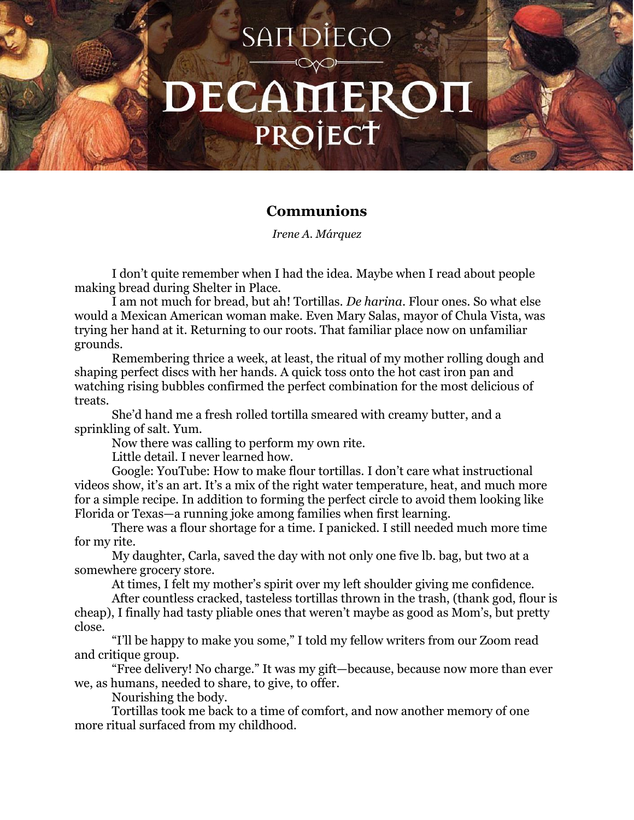## SAIT DIEGO DECAMEROI PROJECT

## **Communions**

*Irene A. Márquez*

I don't quite remember when I had the idea. Maybe when I read about people making bread during Shelter in Place.

I am not much for bread, but ah! Tortillas. *De harina*. Flour ones. So what else would a Mexican American woman make. Even Mary Salas, mayor of Chula Vista, was trying her hand at it. Returning to our roots. That familiar place now on unfamiliar grounds.

Remembering thrice a week, at least, the ritual of my mother rolling dough and shaping perfect discs with her hands. A quick toss onto the hot cast iron pan and watching rising bubbles confirmed the perfect combination for the most delicious of treats.

She'd hand me a fresh rolled tortilla smeared with creamy butter, and a sprinkling of salt. Yum.

Now there was calling to perform my own rite.

Little detail. I never learned how.

Google: YouTube: How to make flour tortillas. I don't care what instructional videos show, it's an art. It's a mix of the right water temperature, heat, and much more for a simple recipe. In addition to forming the perfect circle to avoid them looking like Florida or Texas—a running joke among families when first learning.

There was a flour shortage for a time. I panicked. I still needed much more time for my rite.

My daughter, Carla, saved the day with not only one five lb. bag, but two at a somewhere grocery store.

At times, I felt my mother's spirit over my left shoulder giving me confidence.

After countless cracked, tasteless tortillas thrown in the trash, (thank god, flour is cheap), I finally had tasty pliable ones that weren't maybe as good as Mom's, but pretty close.

"I'll be happy to make you some," I told my fellow writers from our Zoom read and critique group.

"Free delivery! No charge." It was my gift—because, because now more than ever we, as humans, needed to share, to give, to offer.

Nourishing the body.

Tortillas took me back to a time of comfort, and now another memory of one more ritual surfaced from my childhood.